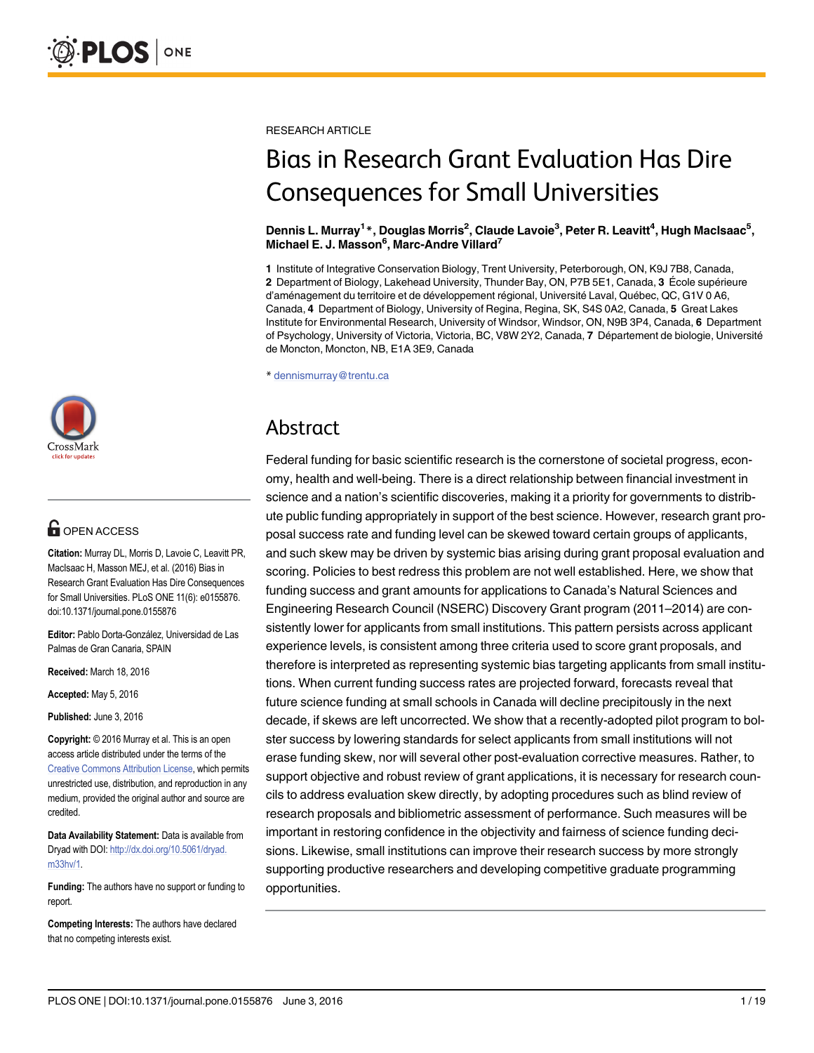RESEARCH ARTICLE

# Bias in Research Grant Evaluation Has Dire Consequences for Small Universities

#### Dennis L. Murray<sup>1</sup>\*, Douglas Morris<sup>2</sup>, Claude Lavoie<sup>3</sup>, Peter R. Leavitt<sup>4</sup>, Hugh MacIsaac<sup>5</sup>, Michael E. J. Masson<sup>6</sup>, Marc-Andre Villard<sup>7</sup>

1 Institute of Integrative Conservation Biology, Trent University, Peterborough, ON, K9J 7B8, Canada, 2 Department of Biology, Lakehead University, Thunder Bay, ON, P7B 5E1, Canada, 3 École supérieure d'aménagement du territoire et de développement régional, Université Laval, Québec, QC, G1V 0 A6, Canada, 4 Department of Biology, University of Regina, Regina, SK, S4S 0A2, Canada, 5 Great Lakes Institute for Environmental Research, University of Windsor, Windsor, ON, N9B 3P4, Canada, 6 Department of Psychology, University of Victoria, Victoria, BC, V8W 2Y2, Canada, 7 Département de biologie, Université de Moncton, Moncton, NB, E1A 3E9, Canada

\* dennismurray@trentu.ca

# Abstract

Federal funding for basic scientific research is the cornerstone of societal progress, economy, health and well-being. There is a direct relationship between financial investment in science and a nation's scientific discoveries, making it a priority for governments to distribute public funding appropriately in support of the best science. However, research grant proposal success rate and funding level can be skewed toward certain groups of applicants, and such skew may be driven by systemic bias arising during grant proposal evaluation and scoring. Policies to best redress this problem are not well established. Here, we show that funding success and grant amounts for applications to Canada's Natural Sciences and Engineering Research Council (NSERC) Discovery Grant program (2011–2014) are consistently lower for applicants from small institutions. This pattern persists across applicant experience levels, is consistent among three criteria used to score grant proposals, and therefore is interpreted as representing systemic bias targeting applicants from small institutions. When current funding success rates are projected forward, forecasts reveal that future science funding at small schools in Canada will decline precipitously in the next decade, if skews are left uncorrected. We show that a recently-adopted pilot program to bolster success by lowering standards for select applicants from small institutions will not erase funding skew, nor will several other post-evaluation corrective measures. Rather, to support objective and robust review of grant applications, it is necessary for research councils to address evaluation skew directly, by adopting procedures such as blind review of research proposals and bibliometric assessment of performance. Such measures will be important in restoring confidence in the objectivity and fairness of science funding decisions. Likewise, small institutions can improve their research success by more strongly supporting productive researchers and developing competitive graduate programming opportunities.



# **G** OPEN ACCESS

Citation: Murray DL, Morris D, Lavoie C, Leavitt PR, MacIsaac H, Masson MEJ, et al. (2016) Bias in Research Grant Evaluation Has Dire Consequences for Small Universities. PLoS ONE 11(6): e0155876. doi:10.1371/journal.pone.0155876

Editor: Pablo Dorta-González, Universidad de Las Palmas de Gran Canaria, SPAIN

Received: March 18, 2016

Accepted: May 5, 2016

Published: June 3, 2016

Copyright: © 2016 Murray et al. This is an open access article distributed under the terms of the [Creative Commons Attribution License,](http://creativecommons.org/licenses/by/4.0/) which permits unrestricted use, distribution, and reproduction in any medium, provided the original author and source are credited.

Data Availability Statement: Data is available from Dryad with DOI: [http://dx.doi.org/10.5061/dryad.](http://dx.doi.org/10.5061/dryad.m33hv/1) [m33hv/1.](http://dx.doi.org/10.5061/dryad.m33hv/1)

Funding: The authors have no support or funding to report.

Competing Interests: The authors have declared that no competing interests exist.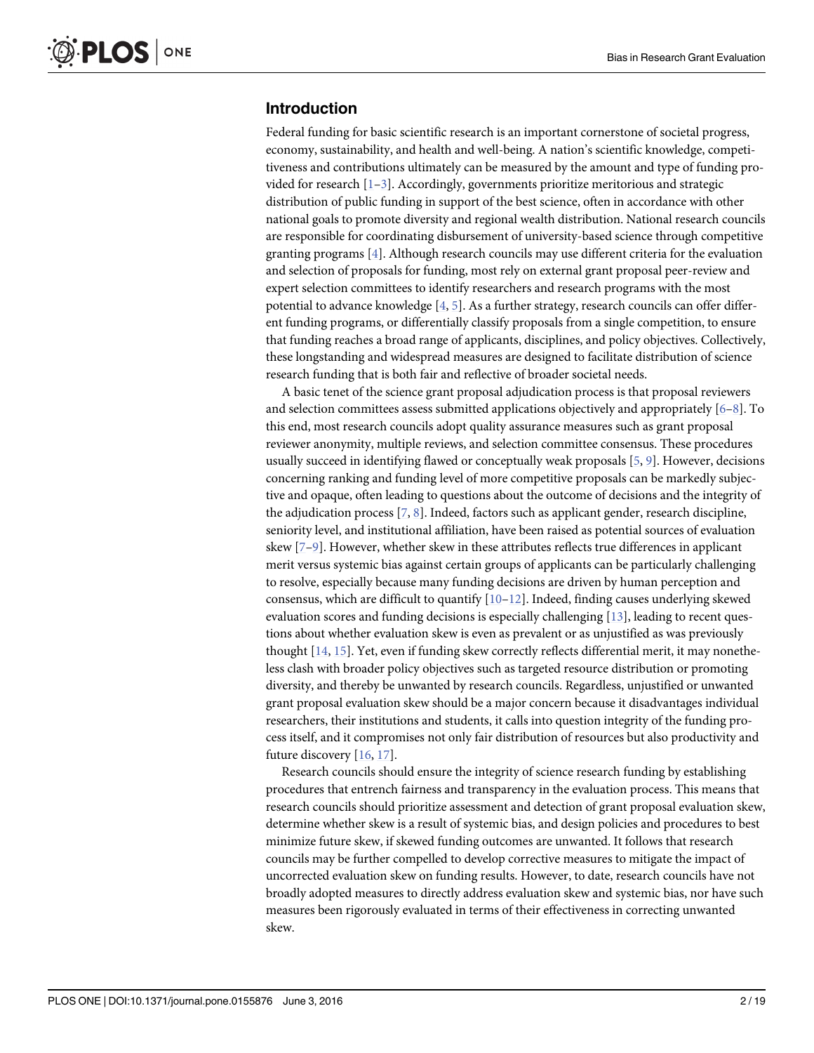# <span id="page-1-0"></span>Introduction

Federal funding for basic scientific research is an important cornerstone of societal progress, economy, sustainability, and health and well-being. A nation's scientific knowledge, competitiveness and contributions ultimately can be measured by the amount and type of funding provided for research [[1](#page-16-0)–[3](#page-16-0)]. Accordingly, governments prioritize meritorious and strategic distribution of public funding in support of the best science, often in accordance with other national goals to promote diversity and regional wealth distribution. National research councils are responsible for coordinating disbursement of university-based science through competitive granting programs [[4\]](#page-16-0). Although research councils may use different criteria for the evaluation and selection of proposals for funding, most rely on external grant proposal peer-review and expert selection committees to identify researchers and research programs with the most potential to advance knowledge [[4,](#page-16-0) [5\]](#page-16-0). As a further strategy, research councils can offer different funding programs, or differentially classify proposals from a single competition, to ensure that funding reaches a broad range of applicants, disciplines, and policy objectives. Collectively, these longstanding and widespread measures are designed to facilitate distribution of science research funding that is both fair and reflective of broader societal needs.

A basic tenet of the science grant proposal adjudication process is that proposal reviewers and selection committees assess submitted applications objectively and appropriately  $[6-8]$  $[6-8]$  $[6-8]$  $[6-8]$ . To this end, most research councils adopt quality assurance measures such as grant proposal reviewer anonymity, multiple reviews, and selection committee consensus. These procedures usually succeed in identifying flawed or conceptually weak proposals [[5](#page-16-0), [9\]](#page-16-0). However, decisions concerning ranking and funding level of more competitive proposals can be markedly subjective and opaque, often leading to questions about the outcome of decisions and the integrity of the adjudication process  $[7, 8]$  $[7, 8]$  $[7, 8]$  $[7, 8]$ . Indeed, factors such as applicant gender, research discipline, seniority level, and institutional affiliation, have been raised as potential sources of evaluation skew [\[7](#page-16-0)–[9\]](#page-16-0). However, whether skew in these attributes reflects true differences in applicant merit versus systemic bias against certain groups of applicants can be particularly challenging to resolve, especially because many funding decisions are driven by human perception and consensus, which are difficult to quantify  $[10-12]$  $[10-12]$  $[10-12]$  $[10-12]$ . Indeed, finding causes underlying skewed evaluation scores and funding decisions is especially challenging  $[13]$ , leading to recent questions about whether evaluation skew is even as prevalent or as unjustified as was previously thought [\[14,](#page-17-0) [15\]](#page-17-0). Yet, even if funding skew correctly reflects differential merit, it may nonetheless clash with broader policy objectives such as targeted resource distribution or promoting diversity, and thereby be unwanted by research councils. Regardless, unjustified or unwanted grant proposal evaluation skew should be a major concern because it disadvantages individual researchers, their institutions and students, it calls into question integrity of the funding process itself, and it compromises not only fair distribution of resources but also productivity and future discovery [[16](#page-17-0), [17](#page-17-0)].

Research councils should ensure the integrity of science research funding by establishing procedures that entrench fairness and transparency in the evaluation process. This means that research councils should prioritize assessment and detection of grant proposal evaluation skew, determine whether skew is a result of systemic bias, and design policies and procedures to best minimize future skew, if skewed funding outcomes are unwanted. It follows that research councils may be further compelled to develop corrective measures to mitigate the impact of uncorrected evaluation skew on funding results. However, to date, research councils have not broadly adopted measures to directly address evaluation skew and systemic bias, nor have such measures been rigorously evaluated in terms of their effectiveness in correcting unwanted skew.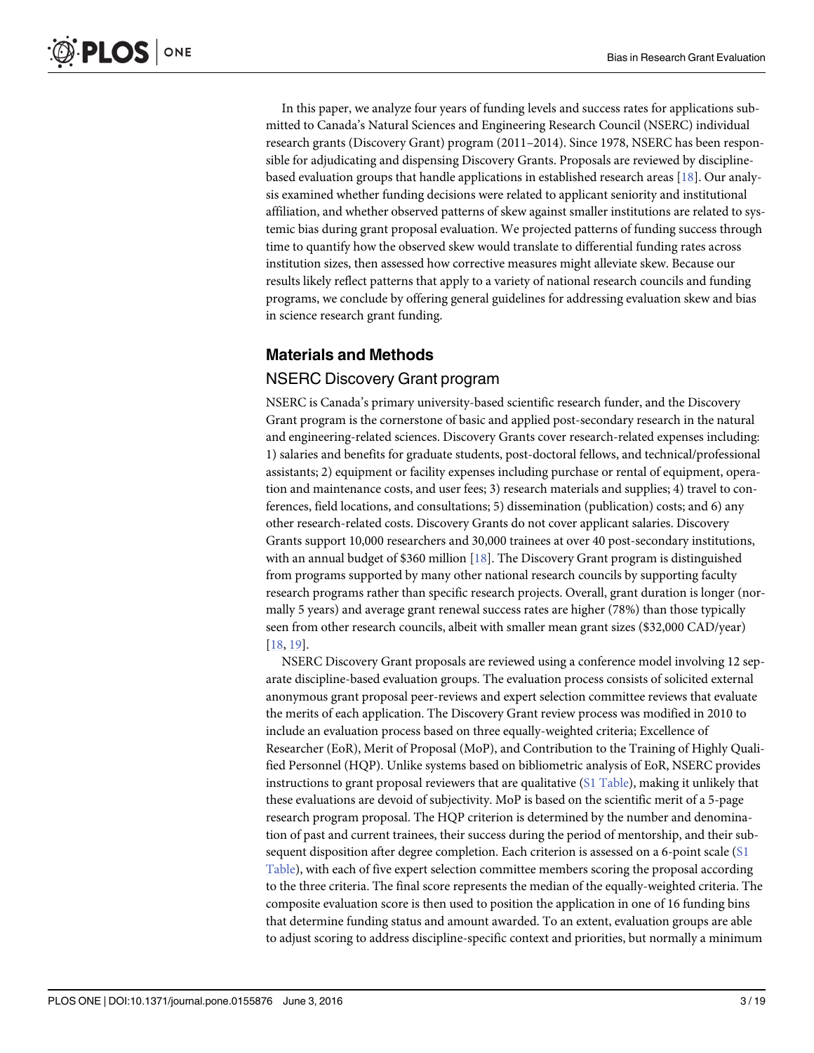<span id="page-2-0"></span>In this paper, we analyze four years of funding levels and success rates for applications submitted to Canada's Natural Sciences and Engineering Research Council (NSERC) individual research grants (Discovery Grant) program (2011–2014). Since 1978, NSERC has been responsible for adjudicating and dispensing Discovery Grants. Proposals are reviewed by disciplinebased evaluation groups that handle applications in established research areas [[18](#page-17-0)]. Our analysis examined whether funding decisions were related to applicant seniority and institutional affiliation, and whether observed patterns of skew against smaller institutions are related to systemic bias during grant proposal evaluation. We projected patterns of funding success through time to quantify how the observed skew would translate to differential funding rates across institution sizes, then assessed how corrective measures might alleviate skew. Because our results likely reflect patterns that apply to a variety of national research councils and funding programs, we conclude by offering general guidelines for addressing evaluation skew and bias in science research grant funding.

# Materials and Methods

# NSERC Discovery Grant program

NSERC is Canada's primary university-based scientific research funder, and the Discovery Grant program is the cornerstone of basic and applied post-secondary research in the natural and engineering-related sciences. Discovery Grants cover research-related expenses including: 1) salaries and benefits for graduate students, post-doctoral fellows, and technical/professional assistants; 2) equipment or facility expenses including purchase or rental of equipment, operation and maintenance costs, and user fees; 3) research materials and supplies; 4) travel to conferences, field locations, and consultations; 5) dissemination (publication) costs; and 6) any other research-related costs. Discovery Grants do not cover applicant salaries. Discovery Grants support 10,000 researchers and 30,000 trainees at over 40 post-secondary institutions, with an annual budget of \$360 million [[18](#page-17-0)]. The Discovery Grant program is distinguished from programs supported by many other national research councils by supporting faculty research programs rather than specific research projects. Overall, grant duration is longer (normally 5 years) and average grant renewal success rates are higher (78%) than those typically seen from other research councils, albeit with smaller mean grant sizes (\$32,000 CAD/year) [\[18](#page-17-0), [19\]](#page-17-0).

NSERC Discovery Grant proposals are reviewed using a conference model involving 12 separate discipline-based evaluation groups. The evaluation process consists of solicited external anonymous grant proposal peer-reviews and expert selection committee reviews that evaluate the merits of each application. The Discovery Grant review process was modified in 2010 to include an evaluation process based on three equally-weighted criteria; Excellence of Researcher (EoR), Merit of Proposal (MoP), and Contribution to the Training of Highly Qualified Personnel (HQP). Unlike systems based on bibliometric analysis of EoR, NSERC provides instructions to grant proposal reviewers that are qualitative [\(S1 Table](#page-16-0)), making it unlikely that these evaluations are devoid of subjectivity. MoP is based on the scientific merit of a 5-page research program proposal. The HQP criterion is determined by the number and denomination of past and current trainees, their success during the period of mentorship, and their sub-sequent disposition after degree completion. Each criterion is assessed on a 6-point scale [\(S1](#page-16-0)) [Table](#page-16-0)), with each of five expert selection committee members scoring the proposal according to the three criteria. The final score represents the median of the equally-weighted criteria. The composite evaluation score is then used to position the application in one of 16 funding bins that determine funding status and amount awarded. To an extent, evaluation groups are able to adjust scoring to address discipline-specific context and priorities, but normally a minimum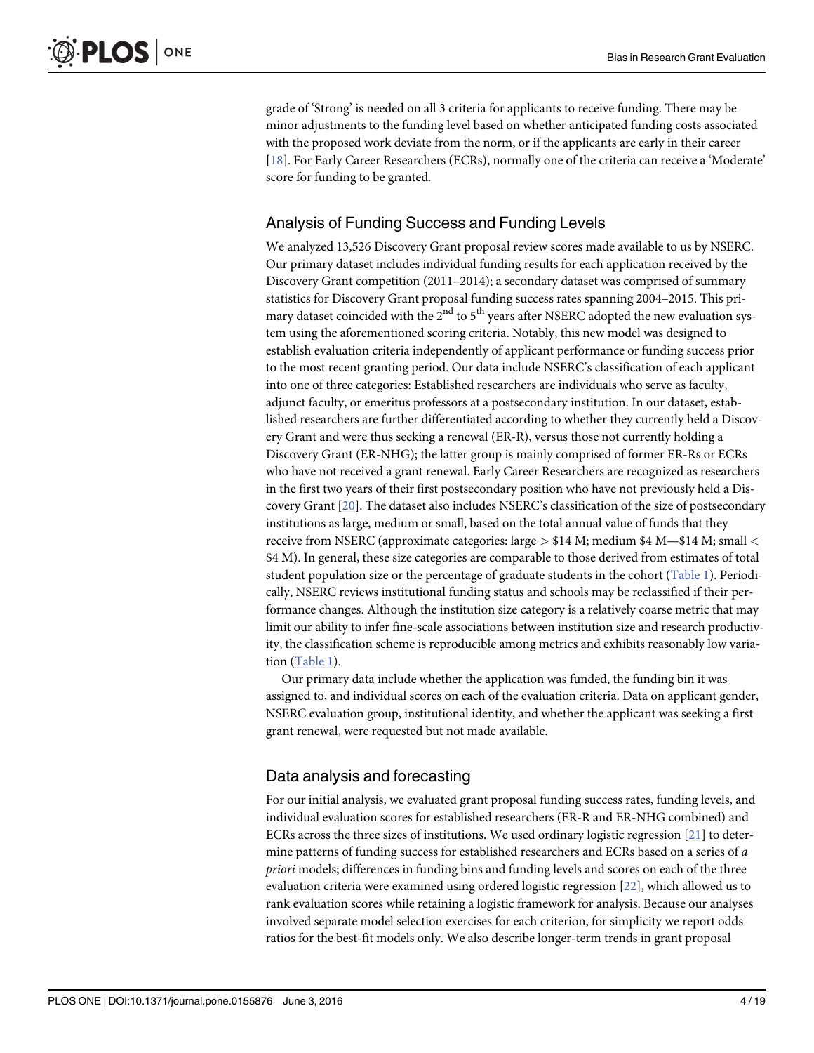<span id="page-3-0"></span>grade of 'Strong' is needed on all 3 criteria for applicants to receive funding. There may be minor adjustments to the funding level based on whether anticipated funding costs associated with the proposed work deviate from the norm, or if the applicants are early in their career [\[18](#page-17-0)]. For Early Career Researchers (ECRs), normally one of the criteria can receive a 'Moderate' score for funding to be granted.

# Analysis of Funding Success and Funding Levels

We analyzed 13,526 Discovery Grant proposal review scores made available to us by NSERC. Our primary dataset includes individual funding results for each application received by the Discovery Grant competition (2011–2014); a secondary dataset was comprised of summary statistics for Discovery Grant proposal funding success rates spanning 2004–2015. This primary dataset coincided with the  $2<sup>nd</sup>$  to  $5<sup>th</sup>$  years after NSERC adopted the new evaluation system using the aforementioned scoring criteria. Notably, this new model was designed to establish evaluation criteria independently of applicant performance or funding success prior to the most recent granting period. Our data include NSERC's classification of each applicant into one of three categories: Established researchers are individuals who serve as faculty, adjunct faculty, or emeritus professors at a postsecondary institution. In our dataset, established researchers are further differentiated according to whether they currently held a Discovery Grant and were thus seeking a renewal (ER-R), versus those not currently holding a Discovery Grant (ER-NHG); the latter group is mainly comprised of former ER-Rs or ECRs who have not received a grant renewal. Early Career Researchers are recognized as researchers in the first two years of their first postsecondary position who have not previously held a Discovery Grant [\[20](#page-17-0)]. The dataset also includes NSERC's classification of the size of postsecondary institutions as large, medium or small, based on the total annual value of funds that they receive from NSERC (approximate categories: large  $> $14$  M; medium \$4 M—\$14 M; small  $<$ \$4 M). In general, these size categories are comparable to those derived from estimates of total student population size or the percentage of graduate students in the cohort [\(Table 1\)](#page-4-0). Periodically, NSERC reviews institutional funding status and schools may be reclassified if their performance changes. Although the institution size category is a relatively coarse metric that may limit our ability to infer fine-scale associations between institution size and research productivity, the classification scheme is reproducible among metrics and exhibits reasonably low varia-tion ([Table 1\)](#page-4-0).

Our primary data include whether the application was funded, the funding bin it was assigned to, and individual scores on each of the evaluation criteria. Data on applicant gender, NSERC evaluation group, institutional identity, and whether the applicant was seeking a first grant renewal, were requested but not made available.

# Data analysis and forecasting

For our initial analysis, we evaluated grant proposal funding success rates, funding levels, and individual evaluation scores for established researchers (ER-R and ER-NHG combined) and ECRs across the three sizes of institutions. We used ordinary logistic regression  $[21]$  to determine patterns of funding success for established researchers and ECRs based on a series of a priori models; differences in funding bins and funding levels and scores on each of the three evaluation criteria were examined using ordered logistic regression [\[22\]](#page-17-0), which allowed us to rank evaluation scores while retaining a logistic framework for analysis. Because our analyses involved separate model selection exercises for each criterion, for simplicity we report odds ratios for the best-fit models only. We also describe longer-term trends in grant proposal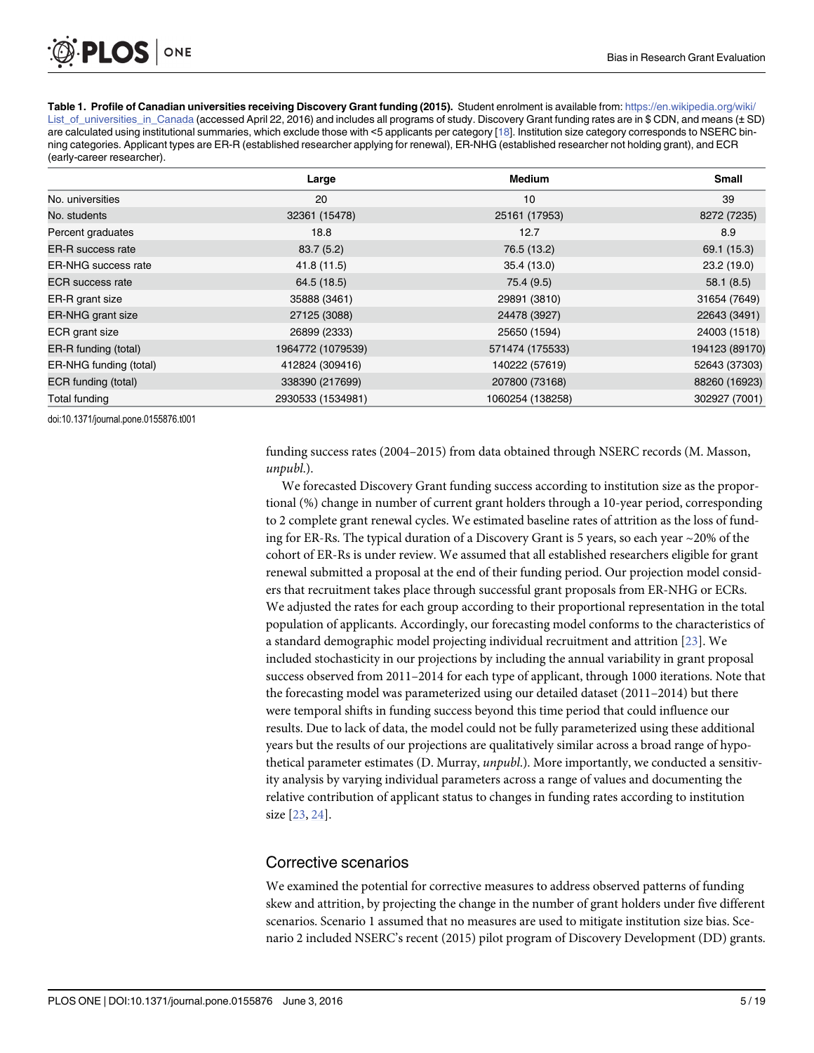<span id="page-4-0"></span>[Table 1.](#page-3-0) Profile of Canadian universities receiving Discovery Grant funding (2015). Student enrolment is available from: [https://en.wikipedia.org/wiki/](https://en.wikipedia.org/wiki/List_of_universities_in_Canada) [List\\_of\\_universities\\_in\\_Canada](https://en.wikipedia.org/wiki/List_of_universities_in_Canada) (accessed April 22, 2016) and includes all programs of study. Discovery Grant funding rates are in \$ CDN, and means (± SD) are calculated using institutional summaries, which exclude those with <5 applicants per category [[18](#page-17-0)]. Institution size category corresponds to NSERC binning categories. Applicant types are ER-R (established researcher applying for renewal), ER-NHG (established researcher not holding grant), and ECR (early-career researcher).

|                            | Large             | <b>Medium</b>    | Small          |  |
|----------------------------|-------------------|------------------|----------------|--|
| No. universities           | 20                | 10               | 39             |  |
| No. students               | 32361 (15478)     | 25161 (17953)    | 8272 (7235)    |  |
| Percent graduates          | 18.8              | 12.7             | 8.9            |  |
| ER-R success rate          | 83.7(5.2)         | 76.5 (13.2)      | 69.1 (15.3)    |  |
| <b>ER-NHG success rate</b> | 41.8 (11.5)       | 35.4 (13.0)      | 23.2 (19.0)    |  |
| <b>ECR</b> success rate    | 64.5 (18.5)       | 75.4 (9.5)       | 58.1(8.5)      |  |
| ER-R grant size            | 35888 (3461)      | 29891 (3810)     | 31654 (7649)   |  |
| ER-NHG grant size          | 27125 (3088)      | 24478 (3927)     | 22643 (3491)   |  |
| ECR grant size             | 26899 (2333)      | 25650 (1594)     | 24003 (1518)   |  |
| ER-R funding (total)       | 1964772 (1079539) | 571474 (175533)  | 194123 (89170) |  |
| ER-NHG funding (total)     | 412824 (309416)   | 140222 (57619)   | 52643 (37303)  |  |
| ECR funding (total)        | 338390 (217699)   | 207800 (73168)   | 88260 (16923)  |  |
| Total funding              | 2930533 (1534981) | 1060254 (138258) | 302927 (7001)  |  |

doi:10.1371/journal.pone.0155876.t001

funding success rates (2004–2015) from data obtained through NSERC records (M. Masson, unpubl.).

We forecasted Discovery Grant funding success according to institution size as the proportional (%) change in number of current grant holders through a 10-year period, corresponding to 2 complete grant renewal cycles. We estimated baseline rates of attrition as the loss of funding for ER-Rs. The typical duration of a Discovery Grant is 5 years, so each year ~20% of the cohort of ER-Rs is under review. We assumed that all established researchers eligible for grant renewal submitted a proposal at the end of their funding period. Our projection model considers that recruitment takes place through successful grant proposals from ER-NHG or ECRs. We adjusted the rates for each group according to their proportional representation in the total population of applicants. Accordingly, our forecasting model conforms to the characteristics of a standard demographic model projecting individual recruitment and attrition [[23](#page-17-0)]. We included stochasticity in our projections by including the annual variability in grant proposal success observed from 2011–2014 for each type of applicant, through 1000 iterations. Note that the forecasting model was parameterized using our detailed dataset (2011–2014) but there were temporal shifts in funding success beyond this time period that could influence our results. Due to lack of data, the model could not be fully parameterized using these additional years but the results of our projections are qualitatively similar across a broad range of hypothetical parameter estimates (D. Murray, unpubl.). More importantly, we conducted a sensitivity analysis by varying individual parameters across a range of values and documenting the relative contribution of applicant status to changes in funding rates according to institution size [\[23,](#page-17-0) [24\]](#page-17-0).

# Corrective scenarios

We examined the potential for corrective measures to address observed patterns of funding skew and attrition, by projecting the change in the number of grant holders under five different scenarios. Scenario 1 assumed that no measures are used to mitigate institution size bias. Scenario 2 included NSERC's recent (2015) pilot program of Discovery Development (DD) grants.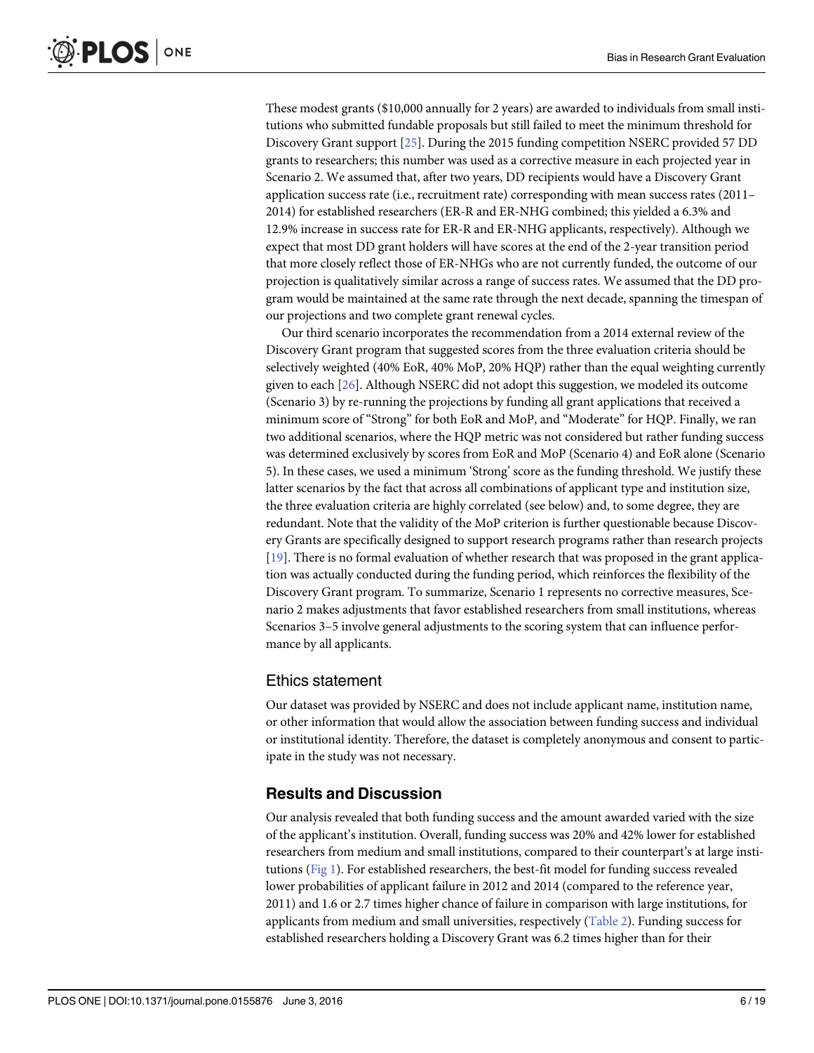<span id="page-5-0"></span>These modest grants (\$10,000 annually for 2 years) are awarded to individuals from small institutions who submitted fundable proposals but still failed to meet the minimum threshold for Discovery Grant support [\[25\]](#page-17-0). During the 2015 funding competition NSERC provided 57 DD grants to researchers; this number was used as a corrective measure in each projected year in Scenario 2. We assumed that, after two years, DD recipients would have a Discovery Grant application success rate (i.e., recruitment rate) corresponding with mean success rates (2011– 2014) for established researchers (ER-R and ER-NHG combined; this yielded a 6.3% and 12.9% increase in success rate for ER-R and ER-NHG applicants, respectively). Although we expect that most DD grant holders will have scores at the end of the 2-year transition period that more closely reflect those of ER-NHGs who are not currently funded, the outcome of our projection is qualitatively similar across a range of success rates. We assumed that the DD program would be maintained at the same rate through the next decade, spanning the timespan of our projections and two complete grant renewal cycles.

Our third scenario incorporates the recommendation from a 2014 external review of the Discovery Grant program that suggested scores from the three evaluation criteria should be selectively weighted (40% EoR, 40% MoP, 20% HQP) rather than the equal weighting currently given to each [\[26](#page-17-0)]. Although NSERC did not adopt this suggestion, we modeled its outcome (Scenario 3) by re-running the projections by funding all grant applications that received a minimum score of "Strong" for both EoR and MoP, and "Moderate" for HQP. Finally, we ran two additional scenarios, where the HQP metric was not considered but rather funding success was determined exclusively by scores from EoR and MoP (Scenario 4) and EoR alone (Scenario 5). In these cases, we used a minimum 'Strong' score as the funding threshold. We justify these latter scenarios by the fact that across all combinations of applicant type and institution size, the three evaluation criteria are highly correlated (see below) and, to some degree, they are redundant. Note that the validity of the MoP criterion is further questionable because Discovery Grants are specifically designed to support research programs rather than research projects [\[19](#page-17-0)]. There is no formal evaluation of whether research that was proposed in the grant application was actually conducted during the funding period, which reinforces the flexibility of the Discovery Grant program. To summarize, Scenario 1 represents no corrective measures, Scenario 2 makes adjustments that favor established researchers from small institutions, whereas Scenarios 3–5 involve general adjustments to the scoring system that can influence performance by all applicants.

#### Ethics statement

Our dataset was provided by NSERC and does not include applicant name, institution name, or other information that would allow the association between funding success and individual or institutional identity. Therefore, the dataset is completely anonymous and consent to participate in the study was not necessary.

#### Results and Discussion

Our analysis revealed that both funding success and the amount awarded varied with the size of the applicant's institution. Overall, funding success was 20% and 42% lower for established researchers from medium and small institutions, compared to their counterpart's at large institutions ([Fig 1\)](#page-6-0). For established researchers, the best-fit model for funding success revealed lower probabilities of applicant failure in 2012 and 2014 (compared to the reference year, 2011) and 1.6 or 2.7 times higher chance of failure in comparison with large institutions, for applicants from medium and small universities, respectively ([Table 2](#page-6-0)). Funding success for established researchers holding a Discovery Grant was 6.2 times higher than for their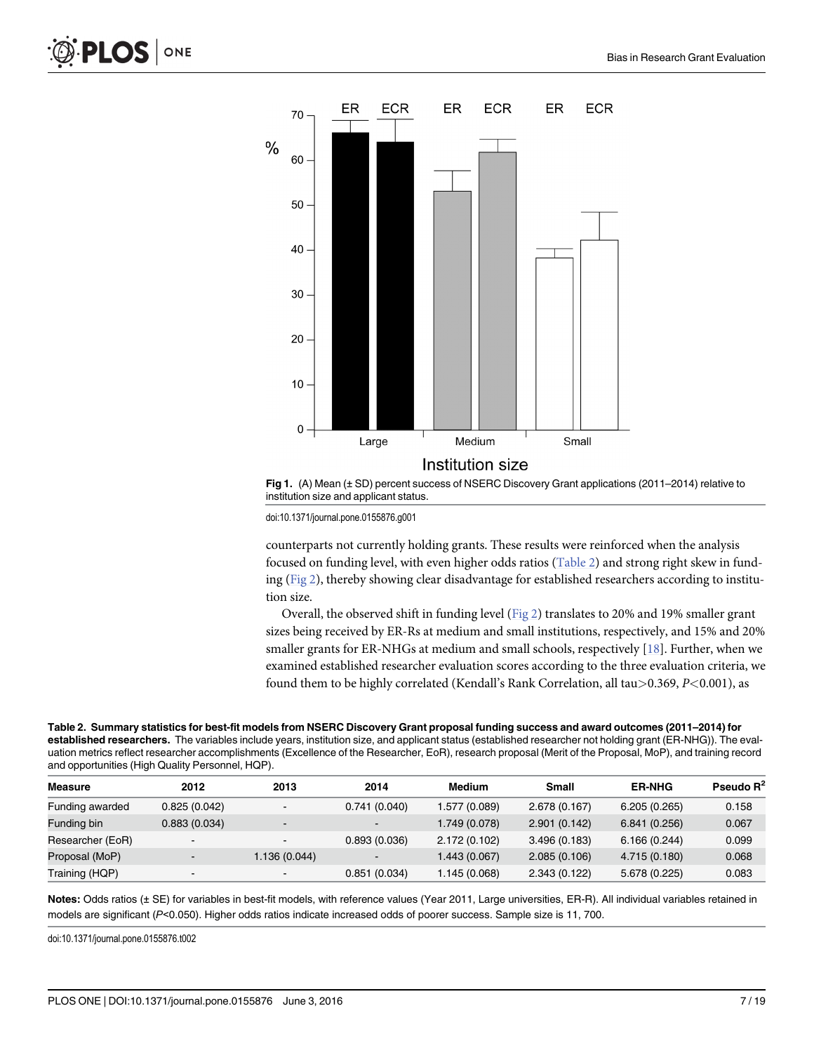<span id="page-6-0"></span>





counterparts not currently holding grants. These results were reinforced when the analysis focused on funding level, with even higher odds ratios (Table 2) and strong right skew in funding [\(Fig 2\)](#page-7-0), thereby showing clear disadvantage for established researchers according to institution size.

Overall, the observed shift in funding level [\(Fig 2](#page-7-0)) translates to 20% and 19% smaller grant sizes being received by ER-Rs at medium and small institutions, respectively, and 15% and 20% smaller grants for ER-NHGs at medium and small schools, respectively  $[18]$  $[18]$  $[18]$ . Further, when we examined established researcher evaluation scores according to the three evaluation criteria, we found them to be highly correlated (Kendall's Rank Correlation, all tau>0.369, P<0.001), as

[Table 2.](#page-5-0) Summary statistics for best-fit models from NSERC Discovery Grant proposal funding success and award outcomes (2011–2014) for established researchers. The variables include years, institution size, and applicant status (established researcher not holding grant (ER-NHG)). The evaluation metrics reflect researcher accomplishments (Excellence of the Researcher, EoR), research proposal (Merit of the Proposal, MoP), and training record and opportunities (High Quality Personnel, HQP).

| <b>Measure</b>   | 2012                     | 2013                     | 2014           | <b>Medium</b> | Small        | <b>ER-NHG</b> | Pseudo $R^2$ |
|------------------|--------------------------|--------------------------|----------------|---------------|--------------|---------------|--------------|
| Funding awarded  | 0.825(0.042)             | $\overline{\phantom{a}}$ | 0.741(0.040)   | 1.577 (0.089) | 2.678(0.167) | 6.205(0.265)  | 0.158        |
| Funding bin      | 0.883(0.034)             | $\overline{\phantom{0}}$ | $\blacksquare$ | 1.749 (0.078) | 2.901(0.142) | 6.841(0.256)  | 0.067        |
| Researcher (EoR) | $\overline{\phantom{0}}$ | $\overline{\phantom{a}}$ | 0.893(0.036)   | 2.172 (0.102) | 3.496(0.183) | 6.166(0.244)  | 0.099        |
| Proposal (MoP)   |                          | 1.136 (0.044)            | $\blacksquare$ | 1.443 (0.067) | 2.085(0.106) | 4.715 (0.180) | 0.068        |
| Training (HQP)   | $\overline{\phantom{0}}$ | $\qquad \qquad$          | 0.851(0.034)   | 1.145 (0.068) | 2.343(0.122) | 5.678 (0.225) | 0.083        |

Notes: Odds ratios (± SE) for variables in best-fit models, with reference values (Year 2011, Large universities, ER-R). All individual variables retained in models are significant (P<0.050). Higher odds ratios indicate increased odds of poorer success. Sample size is 11, 700.

doi:10.1371/journal.pone.0155876.t002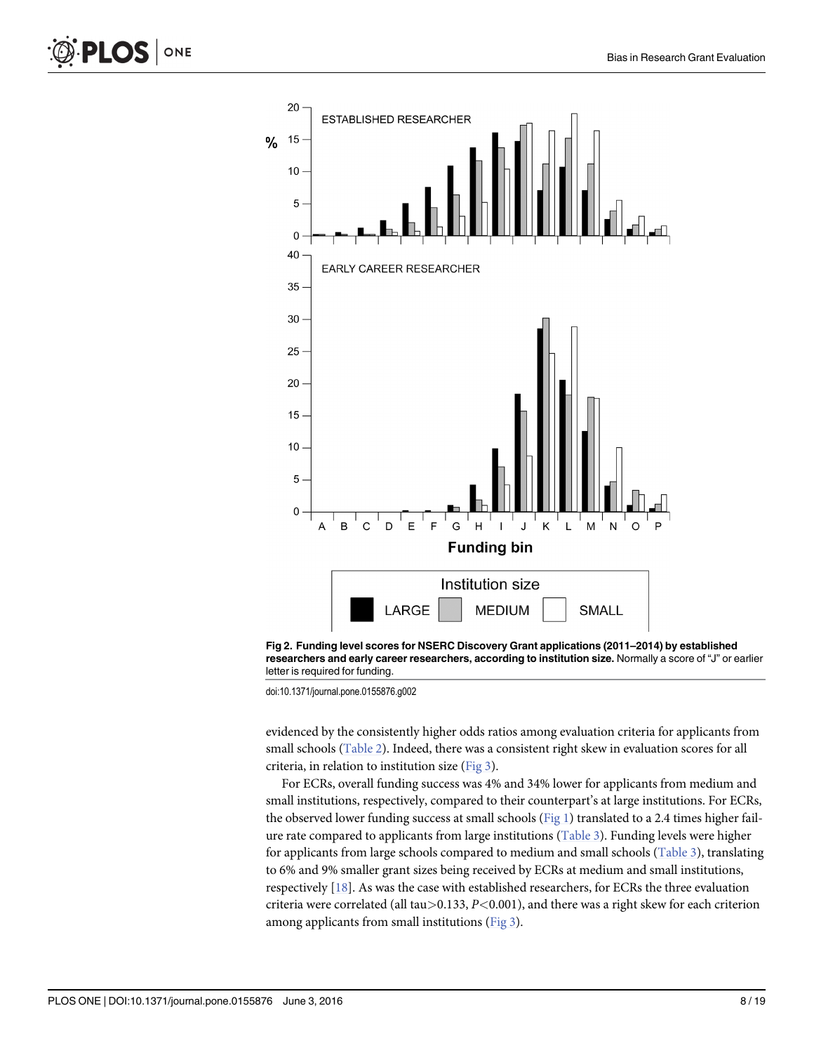<span id="page-7-0"></span>

[Fig 2. F](#page-6-0)unding level scores for NSERC Discovery Grant applications (2011–2014) by established researchers and early career researchers, according to institution size. Normally a score of "J" or earlier letter is required for funding.

evidenced by the consistently higher odds ratios among evaluation criteria for applicants from small schools [\(Table 2](#page-6-0)). Indeed, there was a consistent right skew in evaluation scores for all criteria, in relation to institution size  $(Fig 3)$ .

For ECRs, overall funding success was 4% and 34% lower for applicants from medium and small institutions, respectively, compared to their counterpart's at large institutions. For ECRs, the observed lower funding success at small schools [\(Fig 1](#page-6-0)) translated to a 2.4 times higher fail-ure rate compared to applicants from large institutions [\(Table 3](#page-9-0)). Funding levels were higher for applicants from large schools compared to medium and small schools  $(Table 3)$  $(Table 3)$  $(Table 3)$ , translating to 6% and 9% smaller grant sizes being received by ECRs at medium and small institutions, respectively [\[18\]](#page-17-0). As was the case with established researchers, for ECRs the three evaluation criteria were correlated (all tau  $>$  0.133,  $P$  < 0.001), and there was a right skew for each criterion among applicants from small institutions ([Fig 3](#page-8-0)).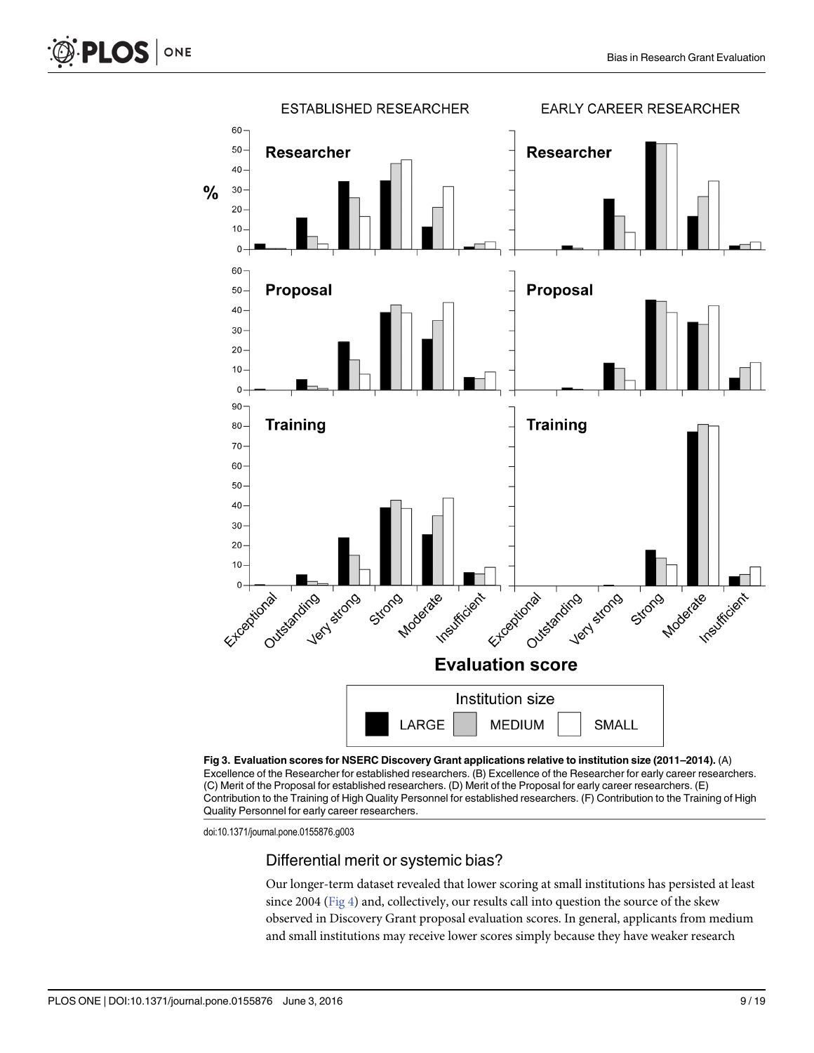<span id="page-8-0"></span>

[Fig 3.](#page-7-0) Evaluation scores for NSERC Discovery Grant applications relative to institution size (2011–2014). (A) Excellence of the Researcher for established researchers. (B) Excellence of the Researcher for early career researchers. (C) Merit of the Proposal for established researchers. (D) Merit of the Proposal for early career researchers. (E) Contribution to the Training of High Quality Personnel for established researchers. (F) Contribution to the Training of High Quality Personnel for early career researchers.

#### Differential merit or systemic bias?

Our longer-term dataset revealed that lower scoring at small institutions has persisted at least since 2004 [\(Fig 4](#page-10-0)) and, collectively, our results call into question the source of the skew observed in Discovery Grant proposal evaluation scores. In general, applicants from medium and small institutions may receive lower scores simply because they have weaker research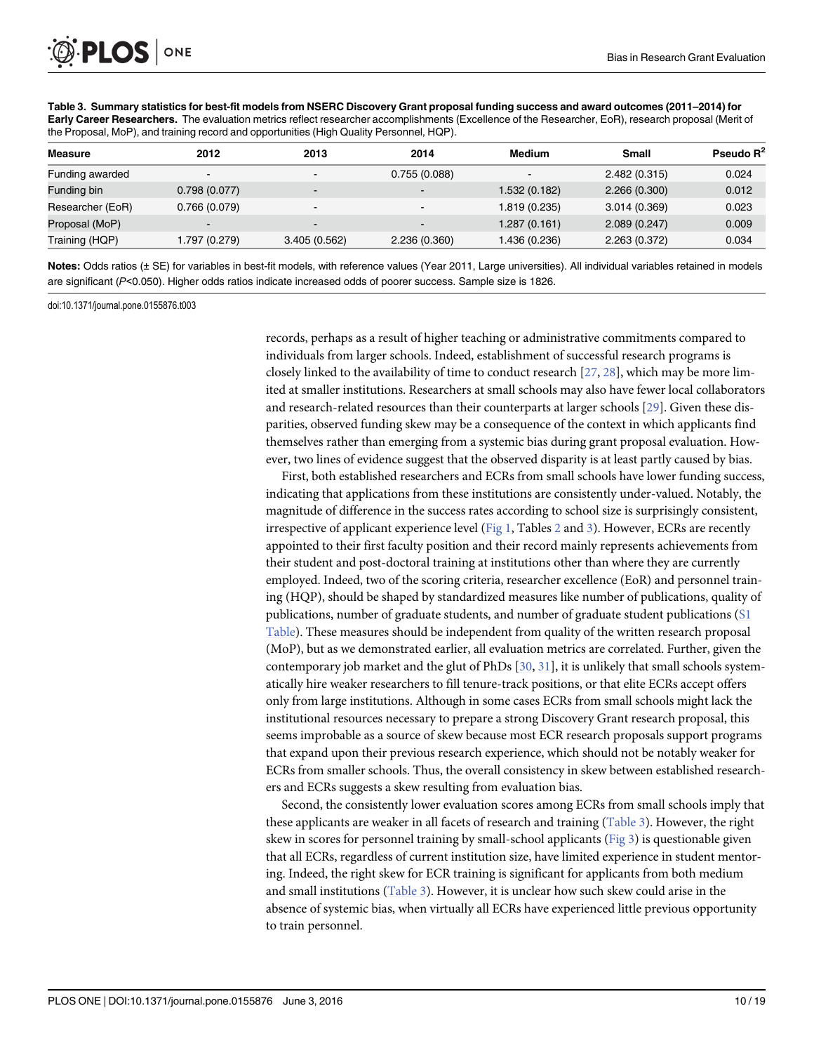<span id="page-9-0"></span>

[Table 3.](#page-7-0) Summary statistics for best-fit models from NSERC Discovery Grant proposal funding success and award outcomes (2011–2014) for Early Career Researchers. The evaluation metrics reflect researcher accomplishments (Excellence of the Researcher, EoR), research proposal (Merit of the Proposal, MoP), and training record and opportunities (High Quality Personnel, HQP).

| <b>Measure</b>   | 2012          | 2013                     | 2014          | <b>Medium</b>  | Small         | Pseudo $R^2$ |
|------------------|---------------|--------------------------|---------------|----------------|---------------|--------------|
| Funding awarded  | . .           | $\sim$                   | 0.755(0.088)  | $\blacksquare$ | 2.482 (0.315) | 0.024        |
| Funding bin      | 0.798(0.077)  | $\overline{\phantom{0}}$ |               | 1.532 (0.182)  | 2.266(0.300)  | 0.012        |
| Researcher (EoR) | 0.766(0.079)  |                          |               | 1.819 (0.235)  | 3.014(0.369)  | 0.023        |
| Proposal (MoP)   | $\sim$        | -                        | -             | 1.287 (0.161)  | 2.089(0.247)  | 0.009        |
| Training (HQP)   | 1.797 (0.279) | 3.405(0.562)             | 2.236 (0.360) | 1.436 (0.236)  | 2.263 (0.372) | 0.034        |

Notes: Odds ratios (± SE) for variables in best-fit models, with reference values (Year 2011, Large universities). All individual variables retained in models are significant (P<0.050). Higher odds ratios indicate increased odds of poorer success. Sample size is 1826.

doi:10.1371/journal.pone.0155876.t003

records, perhaps as a result of higher teaching or administrative commitments compared to individuals from larger schools. Indeed, establishment of successful research programs is closely linked to the availability of time to conduct research [[27](#page-17-0), [28](#page-17-0)], which may be more limited at smaller institutions. Researchers at small schools may also have fewer local collaborators and research-related resources than their counterparts at larger schools [[29](#page-17-0)]. Given these disparities, observed funding skew may be a consequence of the context in which applicants find themselves rather than emerging from a systemic bias during grant proposal evaluation. However, two lines of evidence suggest that the observed disparity is at least partly caused by bias.

First, both established researchers and ECRs from small schools have lower funding success, indicating that applications from these institutions are consistently under-valued. Notably, the magnitude of difference in the success rates according to school size is surprisingly consistent, irrespective of applicant experience level [\(Fig 1,](#page-6-0) Tables [2](#page-6-0) and 3). However, ECRs are recently appointed to their first faculty position and their record mainly represents achievements from their student and post-doctoral training at institutions other than where they are currently employed. Indeed, two of the scoring criteria, researcher excellence (EoR) and personnel training (HQP), should be shaped by standardized measures like number of publications, quality of publications, number of graduate students, and number of graduate student publications ([S1](#page-16-0) [Table](#page-16-0)). These measures should be independent from quality of the written research proposal (MoP), but as we demonstrated earlier, all evaluation metrics are correlated. Further, given the contemporary job market and the glut of PhDs  $[30, 31]$  $[30, 31]$  $[30, 31]$  $[30, 31]$  $[30, 31]$ , it is unlikely that small schools systematically hire weaker researchers to fill tenure-track positions, or that elite ECRs accept offers only from large institutions. Although in some cases ECRs from small schools might lack the institutional resources necessary to prepare a strong Discovery Grant research proposal, this seems improbable as a source of skew because most ECR research proposals support programs that expand upon their previous research experience, which should not be notably weaker for ECRs from smaller schools. Thus, the overall consistency in skew between established researchers and ECRs suggests a skew resulting from evaluation bias.

Second, the consistently lower evaluation scores among ECRs from small schools imply that these applicants are weaker in all facets of research and training (Table 3). However, the right skew in scores for personnel training by small-school applicants ( $Fig 3$ ) is questionable given that all ECRs, regardless of current institution size, have limited experience in student mentoring. Indeed, the right skew for ECR training is significant for applicants from both medium and small institutions (Table 3). However, it is unclear how such skew could arise in the absence of systemic bias, when virtually all ECRs have experienced little previous opportunity to train personnel.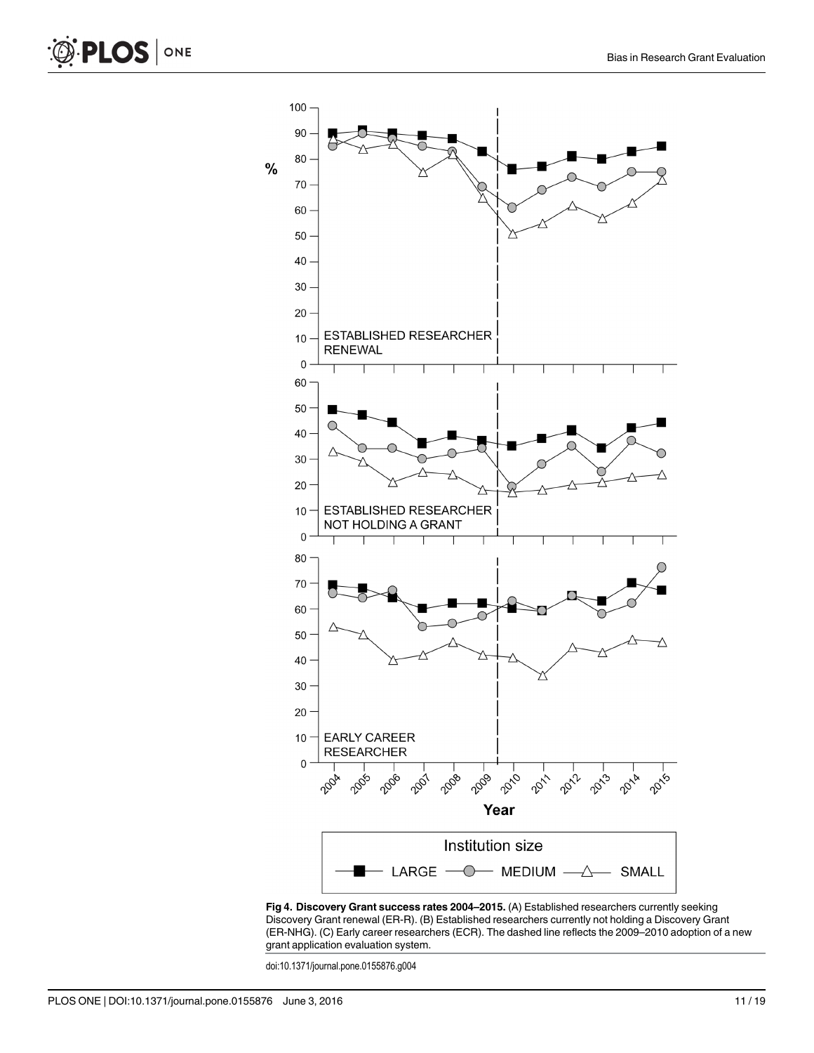<span id="page-10-0"></span>





[Fig 4. D](#page-8-0)iscovery Grant success rates 2004–2015. (A) Established researchers currently seeking Discovery Grant renewal (ER-R). (B) Established researchers currently not holding a Discovery Grant (ER-NHG). (C) Early career researchers (ECR). The dashed line reflects the 2009–2010 adoption of a new grant application evaluation system.

doi:10.1371/journal.pone.0155876.g004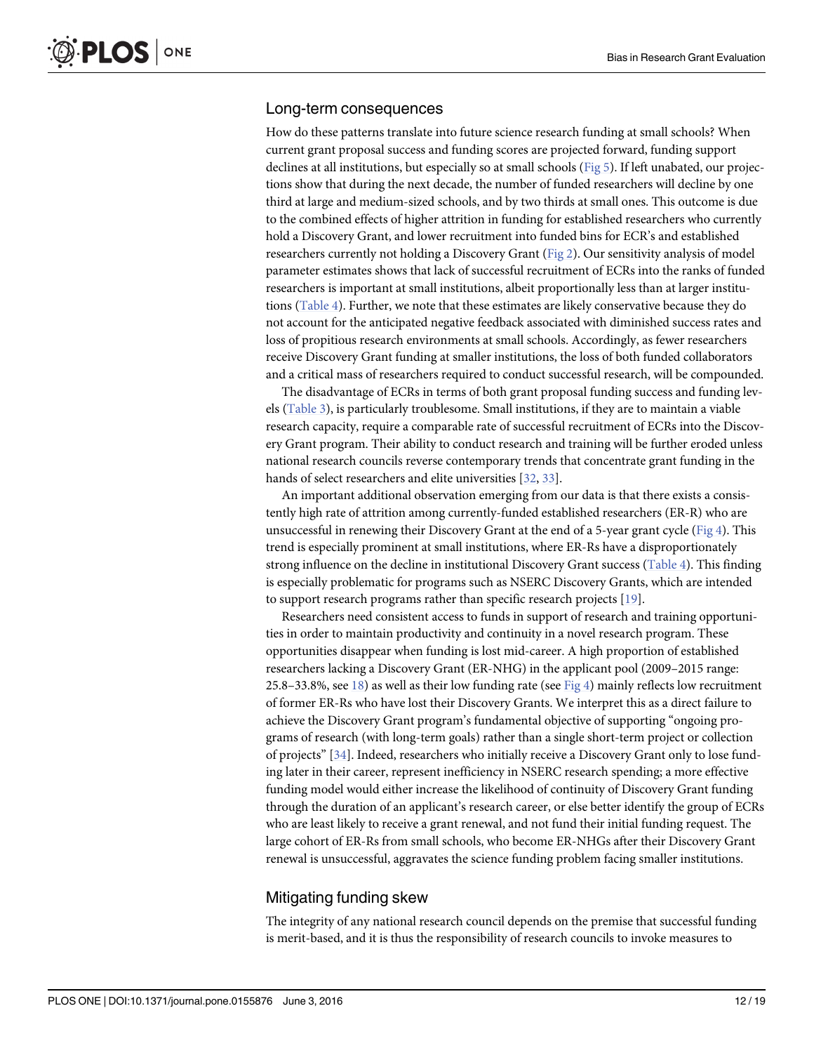#### <span id="page-11-0"></span>Long-term consequences

How do these patterns translate into future science research funding at small schools? When current grant proposal success and funding scores are projected forward, funding support declines at all institutions, but especially so at small schools [\(Fig 5\)](#page-12-0). If left unabated, our projections show that during the next decade, the number of funded researchers will decline by one third at large and medium-sized schools, and by two thirds at small ones. This outcome is due to the combined effects of higher attrition in funding for established researchers who currently hold a Discovery Grant, and lower recruitment into funded bins for ECR's and established researchers currently not holding a Discovery Grant ([Fig 2](#page-7-0)). Our sensitivity analysis of model parameter estimates shows that lack of successful recruitment of ECRs into the ranks of funded researchers is important at small institutions, albeit proportionally less than at larger institutions [\(Table 4\)](#page-13-0). Further, we note that these estimates are likely conservative because they do not account for the anticipated negative feedback associated with diminished success rates and loss of propitious research environments at small schools. Accordingly, as fewer researchers receive Discovery Grant funding at smaller institutions, the loss of both funded collaborators and a critical mass of researchers required to conduct successful research, will be compounded.

The disadvantage of ECRs in terms of both grant proposal funding success and funding levels ([Table 3](#page-9-0)), is particularly troublesome. Small institutions, if they are to maintain a viable research capacity, require a comparable rate of successful recruitment of ECRs into the Discovery Grant program. Their ability to conduct research and training will be further eroded unless national research councils reverse contemporary trends that concentrate grant funding in the hands of select researchers and elite universities [[32](#page-17-0), [33](#page-17-0)].

An important additional observation emerging from our data is that there exists a consistently high rate of attrition among currently-funded established researchers (ER-R) who are unsuccessful in renewing their Discovery Grant at the end of a 5-year grant cycle ([Fig 4](#page-10-0)). This trend is especially prominent at small institutions, where ER-Rs have a disproportionately strong influence on the decline in institutional Discovery Grant success [\(Table 4](#page-13-0)). This finding is especially problematic for programs such as NSERC Discovery Grants, which are intended to support research programs rather than specific research projects [\[19\]](#page-17-0).

Researchers need consistent access to funds in support of research and training opportunities in order to maintain productivity and continuity in a novel research program. These opportunities disappear when funding is lost mid-career. A high proportion of established researchers lacking a Discovery Grant (ER-NHG) in the applicant pool (2009–2015 range: 25.8–33.8%, see  $\underline{18}$ ) as well as their low funding rate (see  $\underline{Fig 4}$ ) mainly reflects low recruitment of former ER-Rs who have lost their Discovery Grants. We interpret this as a direct failure to achieve the Discovery Grant program's fundamental objective of supporting "ongoing programs of research (with long-term goals) rather than a single short-term project or collection of projects" [\[34\]](#page-17-0). Indeed, researchers who initially receive a Discovery Grant only to lose funding later in their career, represent inefficiency in NSERC research spending; a more effective funding model would either increase the likelihood of continuity of Discovery Grant funding through the duration of an applicant's research career, or else better identify the group of ECRs who are least likely to receive a grant renewal, and not fund their initial funding request. The large cohort of ER-Rs from small schools, who become ER-NHGs after their Discovery Grant renewal is unsuccessful, aggravates the science funding problem facing smaller institutions.

#### Mitigating funding skew

The integrity of any national research council depends on the premise that successful funding is merit-based, and it is thus the responsibility of research councils to invoke measures to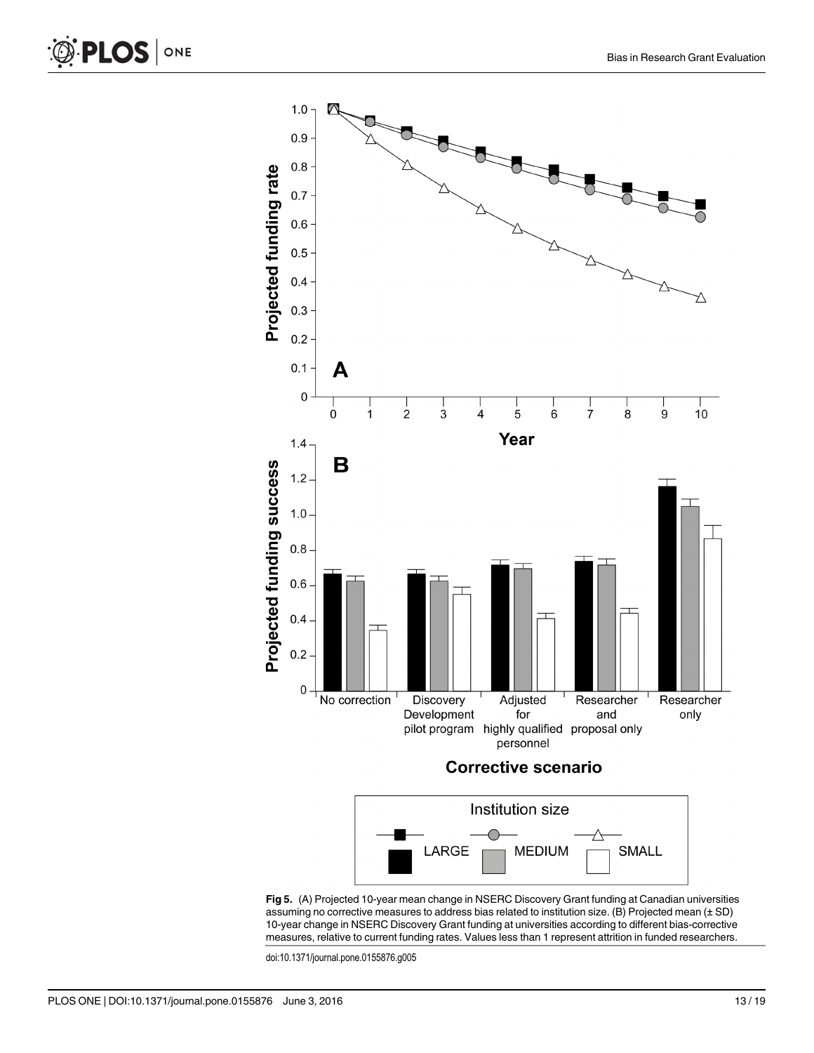<span id="page-12-0"></span>



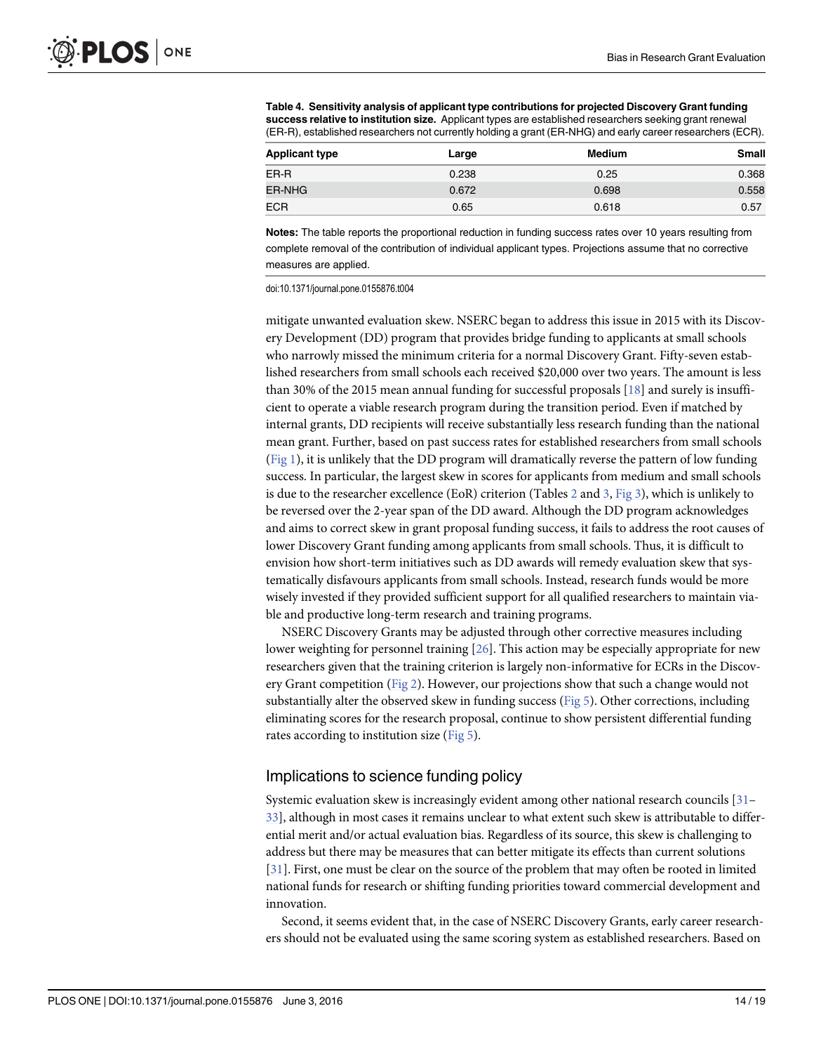<span id="page-13-0"></span>[Table 4.](#page-11-0) Sensitivity analysis of applicant type contributions for projected Discovery Grant funding success relative to institution size. Applicant types are established researchers seeking grant renewal (ER-R), established researchers not currently holding a grant (ER-NHG) and early career researchers (ECR).

| <b>Applicant type</b> | Large | Medium | <b>Small</b> |
|-----------------------|-------|--------|--------------|
| ER-R                  | 0.238 | 0.25   | 0.368        |
| ER-NHG                | 0.672 | 0.698  | 0.558        |
| <b>ECR</b>            | 0.65  | 0.618  | 0.57         |

Notes: The table reports the proportional reduction in funding success rates over 10 years resulting from complete removal of the contribution of individual applicant types. Projections assume that no corrective measures are applied.

doi:10.1371/journal.pone.0155876.t004

mitigate unwanted evaluation skew. NSERC began to address this issue in 2015 with its Discovery Development (DD) program that provides bridge funding to applicants at small schools who narrowly missed the minimum criteria for a normal Discovery Grant. Fifty-seven established researchers from small schools each received \$20,000 over two years. The amount is less than 30% of the 2015 mean annual funding for successful proposals [\[18](#page-17-0)] and surely is insufficient to operate a viable research program during the transition period. Even if matched by internal grants, DD recipients will receive substantially less research funding than the national mean grant. Further, based on past success rates for established researchers from small schools [\(Fig 1\)](#page-6-0), it is unlikely that the DD program will dramatically reverse the pattern of low funding success. In particular, the largest skew in scores for applicants from medium and small schools is due to the researcher excellence (EoR) criterion (Tables [2](#page-6-0) and [3,](#page-9-0) [Fig 3](#page-8-0)), which is unlikely to be reversed over the 2-year span of the DD award. Although the DD program acknowledges and aims to correct skew in grant proposal funding success, it fails to address the root causes of lower Discovery Grant funding among applicants from small schools. Thus, it is difficult to envision how short-term initiatives such as DD awards will remedy evaluation skew that systematically disfavours applicants from small schools. Instead, research funds would be more wisely invested if they provided sufficient support for all qualified researchers to maintain viable and productive long-term research and training programs.

NSERC Discovery Grants may be adjusted through other corrective measures including lower weighting for personnel training  $[26]$ . This action may be especially appropriate for new researchers given that the training criterion is largely non-informative for ECRs in the Discovery Grant competition [\(Fig 2\)](#page-7-0). However, our projections show that such a change would not substantially alter the observed skew in funding success ( $Fig 5$ ). Other corrections, including eliminating scores for the research proposal, continue to show persistent differential funding rates according to institution size  $(Fig 5)$  $(Fig 5)$  $(Fig 5)$ .

#### Implications to science funding policy

Systemic evaluation skew is increasingly evident among other national research councils [[31](#page-17-0)– [33\]](#page-17-0), although in most cases it remains unclear to what extent such skew is attributable to differential merit and/or actual evaluation bias. Regardless of its source, this skew is challenging to address but there may be measures that can better mitigate its effects than current solutions [\[31](#page-17-0)]. First, one must be clear on the source of the problem that may often be rooted in limited national funds for research or shifting funding priorities toward commercial development and innovation.

Second, it seems evident that, in the case of NSERC Discovery Grants, early career researchers should not be evaluated using the same scoring system as established researchers. Based on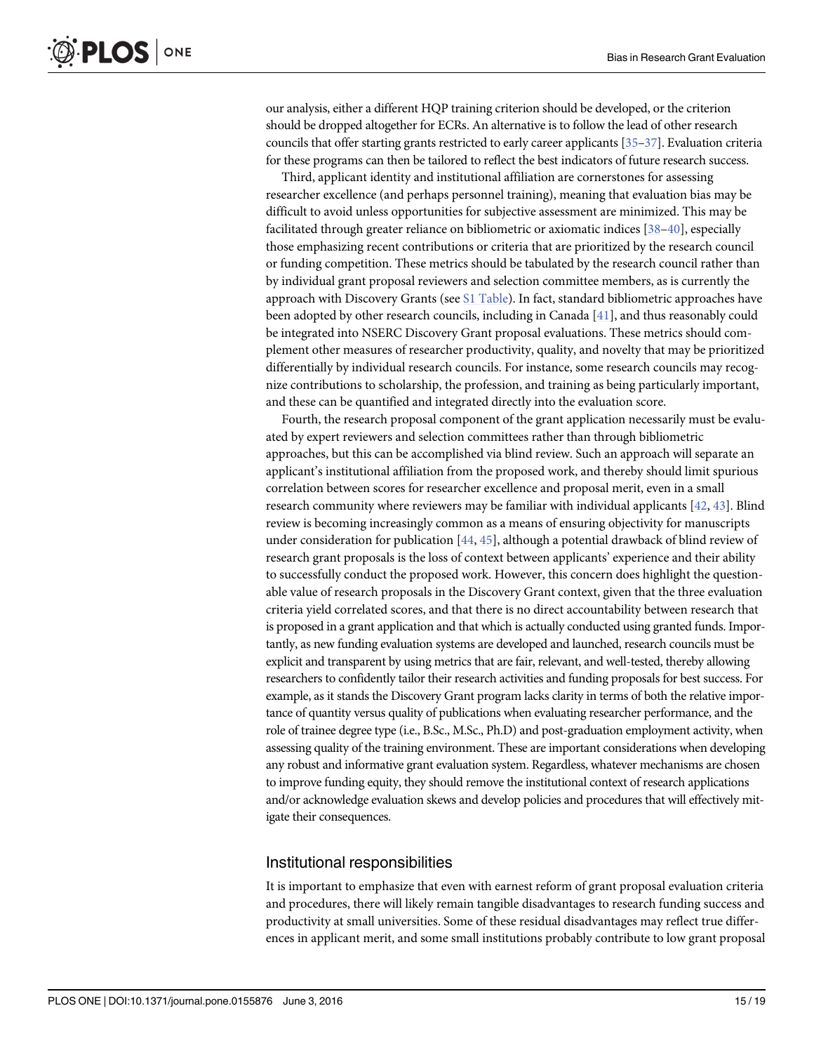<span id="page-14-0"></span>our analysis, either a different HQP training criterion should be developed, or the criterion should be dropped altogether for ECRs. An alternative is to follow the lead of other research councils that offer starting grants restricted to early career applicants [[35](#page-17-0)–[37](#page-17-0)]. Evaluation criteria for these programs can then be tailored to reflect the best indicators of future research success.

Third, applicant identity and institutional affiliation are cornerstones for assessing researcher excellence (and perhaps personnel training), meaning that evaluation bias may be difficult to avoid unless opportunities for subjective assessment are minimized. This may be facilitated through greater reliance on bibliometric or axiomatic indices [\[38](#page-17-0)–[40\]](#page-18-0), especially those emphasizing recent contributions or criteria that are prioritized by the research council or funding competition. These metrics should be tabulated by the research council rather than by individual grant proposal reviewers and selection committee members, as is currently the approach with Discovery Grants (see  $S1$  Table). In fact, standard bibliometric approaches have been adopted by other research councils, including in Canada [\[41\]](#page-18-0), and thus reasonably could be integrated into NSERC Discovery Grant proposal evaluations. These metrics should complement other measures of researcher productivity, quality, and novelty that may be prioritized differentially by individual research councils. For instance, some research councils may recognize contributions to scholarship, the profession, and training as being particularly important, and these can be quantified and integrated directly into the evaluation score.

Fourth, the research proposal component of the grant application necessarily must be evaluated by expert reviewers and selection committees rather than through bibliometric approaches, but this can be accomplished via blind review. Such an approach will separate an applicant's institutional affiliation from the proposed work, and thereby should limit spurious correlation between scores for researcher excellence and proposal merit, even in a small research community where reviewers may be familiar with individual applicants  $[42, 43]$  $[42, 43]$  $[42, 43]$  $[42, 43]$ . Blind review is becoming increasingly common as a means of ensuring objectivity for manuscripts under consideration for publication  $[44, 45]$  $[44, 45]$  $[44, 45]$  $[44, 45]$ , although a potential drawback of blind review of research grant proposals is the loss of context between applicants' experience and their ability to successfully conduct the proposed work. However, this concern does highlight the questionable value of research proposals in the Discovery Grant context, given that the three evaluation criteria yield correlated scores, and that there is no direct accountability between research that is proposed in a grant application and that which is actually conducted using granted funds. Importantly, as new funding evaluation systems are developed and launched, research councils must be explicit and transparent by using metrics that are fair, relevant, and well-tested, thereby allowing researchers to confidently tailor their research activities and funding proposals for best success. For example, as it stands the Discovery Grant program lacks clarity in terms of both the relative importance of quantity versus quality of publications when evaluating researcher performance, and the role of trainee degree type (i.e., B.Sc., M.Sc., Ph.D) and post-graduation employment activity, when assessing quality of the training environment. These are important considerations when developing any robust and informative grant evaluation system. Regardless, whatever mechanisms are chosen to improve funding equity, they should remove the institutional context of research applications and/or acknowledge evaluation skews and develop policies and procedures that will effectively mitigate their consequences.

#### Institutional responsibilities

It is important to emphasize that even with earnest reform of grant proposal evaluation criteria and procedures, there will likely remain tangible disadvantages to research funding success and productivity at small universities. Some of these residual disadvantages may reflect true differences in applicant merit, and some small institutions probably contribute to low grant proposal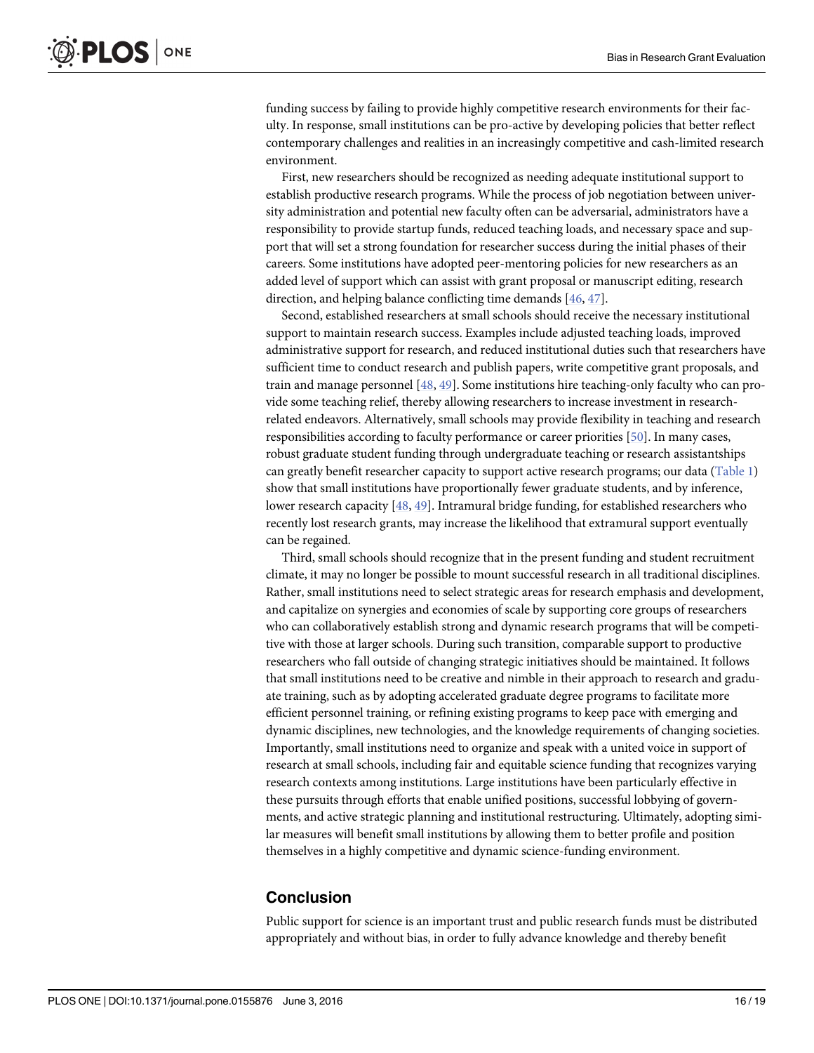<span id="page-15-0"></span>funding success by failing to provide highly competitive research environments for their faculty. In response, small institutions can be pro-active by developing policies that better reflect contemporary challenges and realities in an increasingly competitive and cash-limited research environment.

First, new researchers should be recognized as needing adequate institutional support to establish productive research programs. While the process of job negotiation between university administration and potential new faculty often can be adversarial, administrators have a responsibility to provide startup funds, reduced teaching loads, and necessary space and support that will set a strong foundation for researcher success during the initial phases of their careers. Some institutions have adopted peer-mentoring policies for new researchers as an added level of support which can assist with grant proposal or manuscript editing, research direction, and helping balance conflicting time demands [\[46,](#page-18-0) [47\]](#page-18-0).

Second, established researchers at small schools should receive the necessary institutional support to maintain research success. Examples include adjusted teaching loads, improved administrative support for research, and reduced institutional duties such that researchers have sufficient time to conduct research and publish papers, write competitive grant proposals, and train and manage personnel [\[48](#page-18-0), [49](#page-18-0)]. Some institutions hire teaching-only faculty who can provide some teaching relief, thereby allowing researchers to increase investment in researchrelated endeavors. Alternatively, small schools may provide flexibility in teaching and research responsibilities according to faculty performance or career priorities [[50](#page-18-0)]. In many cases, robust graduate student funding through undergraduate teaching or research assistantships can greatly benefit researcher capacity to support active research programs; our data ([Table 1](#page-4-0)) show that small institutions have proportionally fewer graduate students, and by inference, lower research capacity [[48](#page-18-0), [49](#page-18-0)]. Intramural bridge funding, for established researchers who recently lost research grants, may increase the likelihood that extramural support eventually can be regained.

Third, small schools should recognize that in the present funding and student recruitment climate, it may no longer be possible to mount successful research in all traditional disciplines. Rather, small institutions need to select strategic areas for research emphasis and development, and capitalize on synergies and economies of scale by supporting core groups of researchers who can collaboratively establish strong and dynamic research programs that will be competitive with those at larger schools. During such transition, comparable support to productive researchers who fall outside of changing strategic initiatives should be maintained. It follows that small institutions need to be creative and nimble in their approach to research and graduate training, such as by adopting accelerated graduate degree programs to facilitate more efficient personnel training, or refining existing programs to keep pace with emerging and dynamic disciplines, new technologies, and the knowledge requirements of changing societies. Importantly, small institutions need to organize and speak with a united voice in support of research at small schools, including fair and equitable science funding that recognizes varying research contexts among institutions. Large institutions have been particularly effective in these pursuits through efforts that enable unified positions, successful lobbying of governments, and active strategic planning and institutional restructuring. Ultimately, adopting similar measures will benefit small institutions by allowing them to better profile and position themselves in a highly competitive and dynamic science-funding environment.

# Conclusion

Public support for science is an important trust and public research funds must be distributed appropriately and without bias, in order to fully advance knowledge and thereby benefit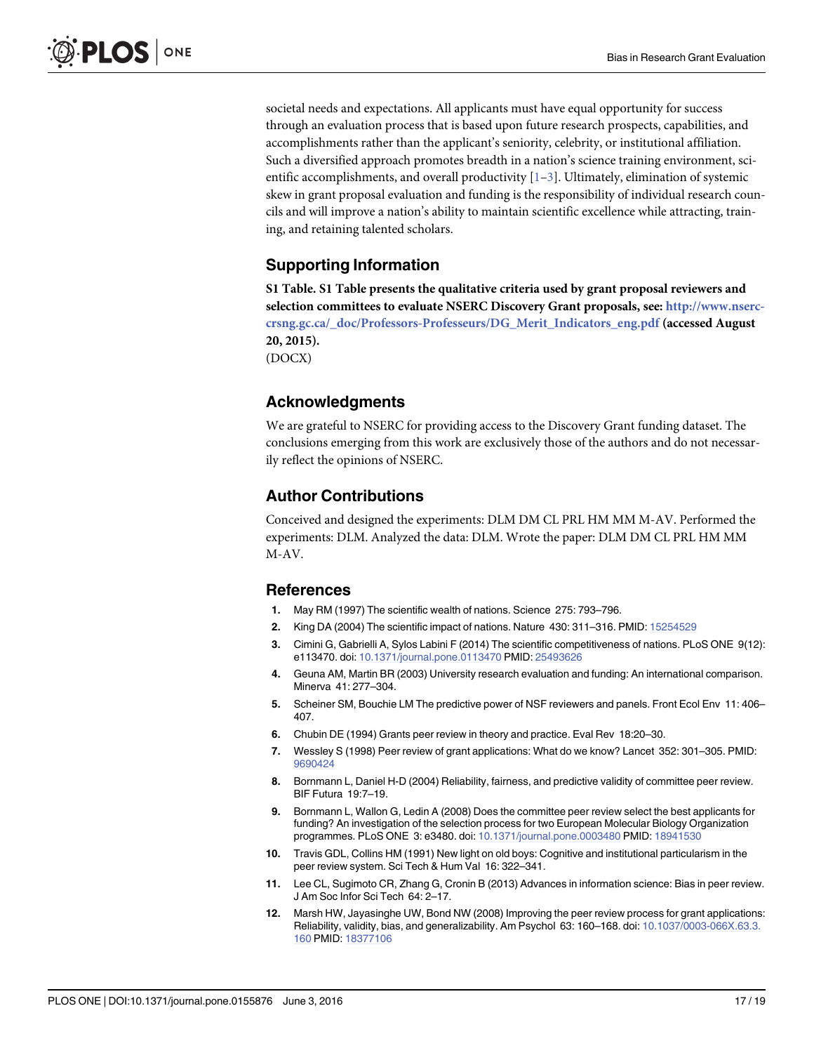<span id="page-16-0"></span>societal needs and expectations. All applicants must have equal opportunity for success through an evaluation process that is based upon future research prospects, capabilities, and accomplishments rather than the applicant's seniority, celebrity, or institutional affiliation. Such a diversified approach promotes breadth in a nation's science training environment, scientific accomplishments, and overall productivity  $[1-3]$ . Ultimately, elimination of systemic skew in grant proposal evaluation and funding is the responsibility of individual research councils and will improve a nation's ability to maintain scientific excellence while attracting, training, and retaining talented scholars.

# Supporting Information

[S1 Table](http://www.plosone.org/article/fetchSingleRepresentation.action?uri=info:doi/10.1371/journal.pone.0155876.s001). S1 Table presents the qualitative criteria used by grant proposal reviewers and selection committees to evaluate NSERC Discovery Grant proposals, see: [http://www.nserc](http://www.nserc-crsng.gc.ca/_doc/Professors-Professeurs/DG_Merit_Indicators_eng.pdf)[crsng.gc.ca/\\_doc/Professors-Professeurs/DG\\_Merit\\_Indicators\\_eng.pdf](http://www.nserc-crsng.gc.ca/_doc/Professors-Professeurs/DG_Merit_Indicators_eng.pdf) (accessed August 20, 2015). (DOCX)

Acknowledgments

We are grateful to NSERC for providing access to the Discovery Grant funding dataset. The conclusions emerging from this work are exclusively those of the authors and do not necessarily reflect the opinions of NSERC.

# Author Contributions

Conceived and designed the experiments: DLM DM CL PRL HM MM M-AV. Performed the experiments: DLM. Analyzed the data: DLM. Wrote the paper: DLM DM CL PRL HM MM M-AV.

#### References

- [1.](#page-1-0) May RM (1997) The scientific wealth of nations. Science 275: 793–796.
- 2. King DA (2004) The scientific impact of nations. Nature 430: 311-316. PMID: [15254529](http://www.ncbi.nlm.nih.gov/pubmed/15254529)
- [3.](#page-1-0) Cimini G, Gabrielli A, Sylos Labini F (2014) The scientific competitiveness of nations. PLoS ONE 9(12): e113470. doi: [10.1371/journal.pone.0113470](http://dx.doi.org/10.1371/journal.pone.0113470) PMID: [25493626](http://www.ncbi.nlm.nih.gov/pubmed/25493626)
- [4.](#page-1-0) Geuna AM, Martin BR (2003) University research evaluation and funding: An international comparison. Minerva 41: 277–304.
- [5.](#page-1-0) Scheiner SM, Bouchie LM The predictive power of NSF reviewers and panels. Front Ecol Env 11: 406– 407.
- [6.](#page-1-0) Chubin DE (1994) Grants peer review in theory and practice. Eval Rev 18:20–30.
- [7.](#page-1-0) Wessley S (1998) Peer review of grant applications: What do we know? Lancet 352: 301–305. PMID: [9690424](http://www.ncbi.nlm.nih.gov/pubmed/9690424)
- [8.](#page-1-0) Bornmann L, Daniel H-D (2004) Reliability, fairness, and predictive validity of committee peer review. BIF Futura 19:7–19.
- [9.](#page-1-0) Bornmann L, Wallon G, Ledin A (2008) Does the committee peer review select the best applicants for funding? An investigation of the selection process for two European Molecular Biology Organization programmes. PLoS ONE 3: e3480. doi: [10.1371/journal.pone.0003480](http://dx.doi.org/10.1371/journal.pone.0003480) PMID: [18941530](http://www.ncbi.nlm.nih.gov/pubmed/18941530)
- [10.](#page-1-0) Travis GDL, Collins HM (1991) New light on old boys: Cognitive and institutional particularism in the peer review system. Sci Tech & Hum Val 16: 322–341.
- 11. Lee CL, Sugimoto CR, Zhang G, Cronin B (2013) Advances in information science: Bias in peer review. J Am Soc Infor Sci Tech 64: 2–17.
- [12.](#page-1-0) Marsh HW, Jayasinghe UW, Bond NW (2008) Improving the peer review process for grant applications: Reliability, validity, bias, and generalizability. Am Psychol 63: 160-168. doi: [10.1037/0003-066X.63.3.](http://dx.doi.org/10.1037/0003-066X.63.3.160) [160](http://dx.doi.org/10.1037/0003-066X.63.3.160) PMID: [18377106](http://www.ncbi.nlm.nih.gov/pubmed/18377106)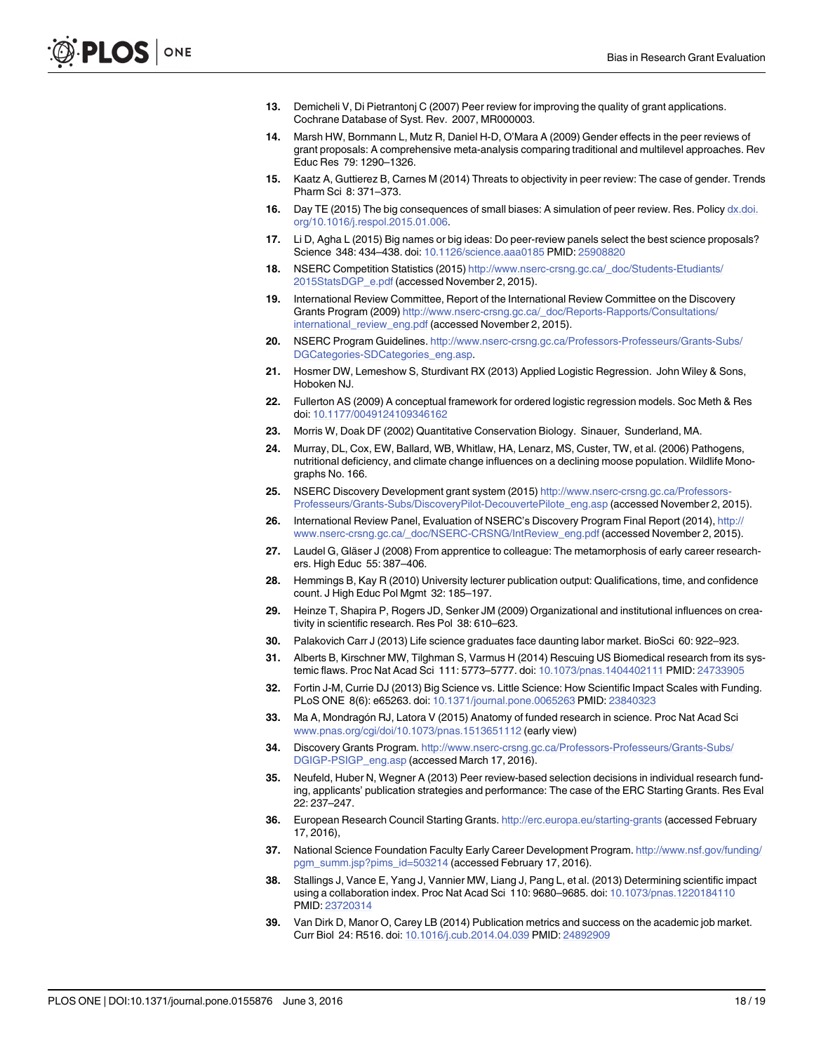- <span id="page-17-0"></span>[13.](#page-1-0) Demicheli V, Di Pietrantonj C (2007) Peer review for improving the quality of grant applications. Cochrane Database of Syst. Rev. 2007, MR000003.
- [14.](#page-1-0) Marsh HW, Bornmann L, Mutz R, Daniel H-D, O'Mara A (2009) Gender effects in the peer reviews of grant proposals: A comprehensive meta-analysis comparing traditional and multilevel approaches. Rev Educ Res 79: 1290–1326.
- [15.](#page-1-0) Kaatz A, Guttierez B, Carnes M (2014) Threats to objectivity in peer review: The case of gender. Trends Pharm Sci 8: 371–373.
- [16.](#page-1-0) Day TE (2015) The big consequences of small biases: A simulation of peer review. Res. Policy [dx.doi.](http://dx.doi.org/10.1016/j.respol.2015.01.006) [org/10.1016/j.respol.2015.01.006.](http://dx.doi.org/10.1016/j.respol.2015.01.006)
- [17.](#page-1-0) Li D, Agha L (2015) Big names or big ideas: Do peer-review panels select the best science proposals? Science 348: 434–438. doi: [10.1126/science.aaa0185](http://dx.doi.org/10.1126/science.aaa0185) PMID: [25908820](http://www.ncbi.nlm.nih.gov/pubmed/25908820)
- [18.](#page-2-0) NSERC Competition Statistics (2015) [http://www.nserc-crsng.gc.ca/\\_doc/Students-Etudiants/](http://www.nserc-crsng.gc.ca/_doc/Students-Etudiants/2015StatsDGP_e.pdf) [2015StatsDGP\\_e.pdf](http://www.nserc-crsng.gc.ca/_doc/Students-Etudiants/2015StatsDGP_e.pdf) (accessed November 2, 2015).
- [19.](#page-2-0) International Review Committee, Report of the International Review Committee on the Discovery Grants Program (2009) [http://www.nserc-crsng.gc.ca/\\_doc/Reports-Rapports/Consultations/](http://www.nserc-crsng.gc.ca/_doc/Reports-Rapports/Consultations/international_review_eng.pdf) [international\\_review\\_eng.pdf](http://www.nserc-crsng.gc.ca/_doc/Reports-Rapports/Consultations/international_review_eng.pdf) (accessed November 2, 2015).
- [20.](#page-3-0) NSERC Program Guidelines. [http://www.nserc-crsng.gc.ca/Professors-Professeurs/Grants-Subs/](http://www.nserc-crsng.gc.ca/Professors-Professeurs/Grants-Subs/DGCategories-SDCategories_eng.asp) [DGCategories-SDCategories\\_eng.asp](http://www.nserc-crsng.gc.ca/Professors-Professeurs/Grants-Subs/DGCategories-SDCategories_eng.asp).
- [21.](#page-3-0) Hosmer DW, Lemeshow S, Sturdivant RX (2013) Applied Logistic Regression. John Wiley & Sons, Hoboken NJ
- [22.](#page-3-0) Fullerton AS (2009) A conceptual framework for ordered logistic regression models. Soc Meth & Res doi: [10.1177/0049124109346162](http://dx.doi.org/10.1177/0049124109346162)
- [23.](#page-4-0) Morris W, Doak DF (2002) Quantitative Conservation Biology. Sinauer, Sunderland, MA.
- [24.](#page-4-0) Murray, DL, Cox, EW, Ballard, WB, Whitlaw, HA, Lenarz, MS, Custer, TW, et al. (2006) Pathogens, nutritional deficiency, and climate change influences on a declining moose population. Wildlife Monographs No. 166.
- [25.](#page-5-0) NSERC Discovery Development grant system (2015) [http://www.nserc-crsng.gc.ca/Professors-](http://www.nserc-crsng.gc.ca/Professors-Professeurs/Grants-Subs/DiscoveryPilot-DecouvertePilote_eng.asp)[Professeurs/Grants-Subs/DiscoveryPilot-DecouvertePilote\\_eng.asp](http://www.nserc-crsng.gc.ca/Professors-Professeurs/Grants-Subs/DiscoveryPilot-DecouvertePilote_eng.asp) (accessed November 2, 2015).
- [26.](#page-5-0) International Review Panel, Evaluation of NSERC's Discovery Program Final Report (2014), [http://](http://www.nserc-crsng.gc.ca/_doc/NSERC-CRSNG/IntReview_eng.pdf) [www.nserc-crsng.gc.ca/\\_doc/NSERC-CRSNG/IntReview\\_eng.pdf](http://www.nserc-crsng.gc.ca/_doc/NSERC-CRSNG/IntReview_eng.pdf) (accessed November 2, 2015).
- [27.](#page-9-0) Laudel G, Gläser J (2008) From apprentice to colleague: The metamorphosis of early career researchers. High Educ 55: 387–406.
- [28.](#page-9-0) Hemmings B, Kay R (2010) University lecturer publication output: Qualifications, time, and confidence count. J High Educ Pol Mgmt 32: 185–197.
- [29.](#page-9-0) Heinze T, Shapira P, Rogers JD, Senker JM (2009) Organizational and institutional influences on creativity in scientific research. Res Pol 38: 610–623.
- [30.](#page-9-0) Palakovich Carr J (2013) Life science graduates face daunting labor market. BioSci 60: 922–923.
- [31.](#page-9-0) Alberts B, Kirschner MW, Tilghman S, Varmus H (2014) Rescuing US Biomedical research from its systemic flaws. Proc Nat Acad Sci 111: 5773–5777. doi: [10.1073/pnas.1404402111](http://dx.doi.org/10.1073/pnas.1404402111) PMID: [24733905](http://www.ncbi.nlm.nih.gov/pubmed/24733905)
- [32.](#page-11-0) Fortin J-M, Currie DJ (2013) Big Science vs. Little Science: How Scientific Impact Scales with Funding. PLoS ONE 8(6): e65263. doi: [10.1371/journal.pone.0065263](http://dx.doi.org/10.1371/journal.pone.0065263) PMID: [23840323](http://www.ncbi.nlm.nih.gov/pubmed/23840323)
- [33.](#page-11-0) Ma A, Mondragón RJ, Latora V (2015) Anatomy of funded research in science. Proc Nat Acad Sci [www.pnas.org/cgi/doi/10.1073/pnas.1513651112](http://www.pnas.org/cgi/doi/10.1073/pnas.1513651112) (early view)
- [34.](#page-11-0) Discovery Grants Program. [http://www.nserc-crsng.gc.ca/Professors-Professeurs/Grants-Subs/](http://www.nserc-crsng.gc.ca/Professors-Professeurs/Grants-Subs/DGIGP-PSIGP_eng.asp) [DGIGP-PSIGP\\_eng.asp](http://www.nserc-crsng.gc.ca/Professors-Professeurs/Grants-Subs/DGIGP-PSIGP_eng.asp) (accessed March 17, 2016).
- [35.](#page-14-0) Neufeld, Huber N, Wegner A (2013) Peer review-based selection decisions in individual research funding, applicants' publication strategies and performance: The case of the ERC Starting Grants. Res Eval 22: 237–247.
- 36. European Research Council Starting Grants. <http://erc.europa.eu/starting-grants> (accessed February 17, 2016),
- [37.](#page-14-0) National Science Foundation Faculty Early Career Development Program. [http://www.nsf.gov/funding/](http://www.nsf.gov/funding/pgm_summ.jsp?pims_id=503214) [pgm\\_summ.jsp?pims\\_id=503214](http://www.nsf.gov/funding/pgm_summ.jsp?pims_id=503214) (accessed February 17, 2016).
- [38.](#page-14-0) Stallings J, Vance E, Yang J, Vannier MW, Liang J, Pang L, et al. (2013) Determining scientific impact using a collaboration index. Proc Nat Acad Sci 110: 9680-9685. doi: [10.1073/pnas.1220184110](http://dx.doi.org/10.1073/pnas.1220184110) PMID: [23720314](http://www.ncbi.nlm.nih.gov/pubmed/23720314)
- 39. Van Dirk D, Manor O, Carey LB (2014) Publication metrics and success on the academic job market. Curr Biol 24: R516. doi: [10.1016/j.cub.2014.04.039](http://dx.doi.org/10.1016/j.cub.2014.04.039) PMID: [24892909](http://www.ncbi.nlm.nih.gov/pubmed/24892909)